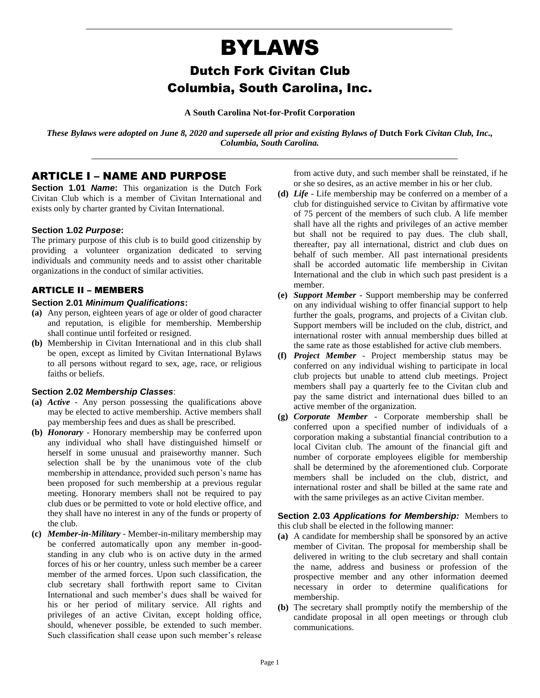# BYLAWS

# Dutch Fork Civitan Club Columbia, South Carolina, Inc.

**A South Carolina Not-for-Profit Corporation**

*These Bylaws were adopted on June 8, 2020 and supersede all prior and existing Bylaws of* **Dutch Fork** *Civitan Club, Inc., Columbia, South Carolina.*

# ARTICLE I – NAME AND PURPOSE

**Section 1.01** *Name*: This organization is the Dutch Fork Civitan Club which is a member of Civitan International and exists only by charter granted by Civitan International.

#### **Section 1.02** *Purpose***:**

The primary purpose of this club is to build good citizenship by providing a volunteer organization dedicated to serving individuals and community needs and to assist other charitable organizations in the conduct of similar activities.

### ARTICLE II – MEMBERS

#### **Section 2.01** *Minimum Qualifications***:**

- **(a)** Any person, eighteen years of age or older of good character and reputation, is eligible for membership. Membership shall continue until forfeited or resigned.
- **(b)** Membership in Civitan International and in this club shall be open, except as limited by Civitan International Bylaws to all persons without regard to sex, age, race, or religious faiths or beliefs.

#### **Section 2.02** *Membership Classes*:

- **(a)** *Active* Any person possessing the qualifications above may be elected to active membership. Active members shall pay membership fees and dues as shall be prescribed.
- **(b)** *Honorary* Honorary membership may be conferred upon any individual who shall have distinguished himself or herself in some unusual and praiseworthy manner. Such selection shall be by the unanimous vote of the club membership in attendance, provided such person's name has been proposed for such membership at a previous regular meeting. Honorary members shall not be required to pay club dues or be permitted to vote or hold elective office, and they shall have no interest in any of the funds or property of the club.
- **(c)** *Member-in-Military* Member-in-military membership may be conferred automatically upon any member in-goodstanding in any club who is on active duty in the armed forces of his or her country, unless such member be a career member of the armed forces. Upon such classification, the club secretary shall forthwith report same to Civitan International and such member's dues shall be waived for his or her period of military service. All rights and privileges of an active Civitan, except holding office, should, whenever possible, be extended to such member. Such classification shall cease upon such member's release

from active duty, and such member shall be reinstated, if he or she so desires, as an active member in his or her club.

- **(d)** *Life* Life membership may be conferred on a member of a club for distinguished service to Civitan by affirmative vote of 75 percent of the members of such club. A life member shall have all the rights and privileges of an active member but shall not be required to pay dues. The club shall, thereafter, pay all international, district and club dues on behalf of such member. All past international presidents shall be accorded automatic life membership in Civitan International and the club in which such past president is a member.
- **(e)** *Support Member* Support membership may be conferred on any individual wishing to offer financial support to help further the goals, programs, and projects of a Civitan club. Support members will be included on the club, district, and international roster with annual membership dues billed at the same rate as those established for active club members.
- **(f)** *Project Member* Project membership status may be conferred on any individual wishing to participate in local club projects but unable to attend club meetings. Project members shall pay a quarterly fee to the Civitan club and pay the same district and international dues billed to an active member of the organization.
- **(g)** *Corporate Member* Corporate membership shall be conferred upon a specified number of individuals of a corporation making a substantial financial contribution to a local Civitan club. The amount of the financial gift and number of corporate employees eligible for membership shall be determined by the aforementioned club. Corporate members shall be included on the club, district, and international roster and shall be billed at the same rate and with the same privileges as an active Civitan member.

**Section 2.03** *Applications for Membership:* Members to this club shall be elected in the following manner:

- **(a)** A candidate for membership shall be sponsored by an active member of Civitan. The proposal for membership shall be delivered in writing to the club secretary and shall contain the name, address and business or profession of the prospective member and any other information deemed necessary in order to determine qualifications for membership.
- **(b)** The secretary shall promptly notify the membership of the candidate proposal in all open meetings or through club communications.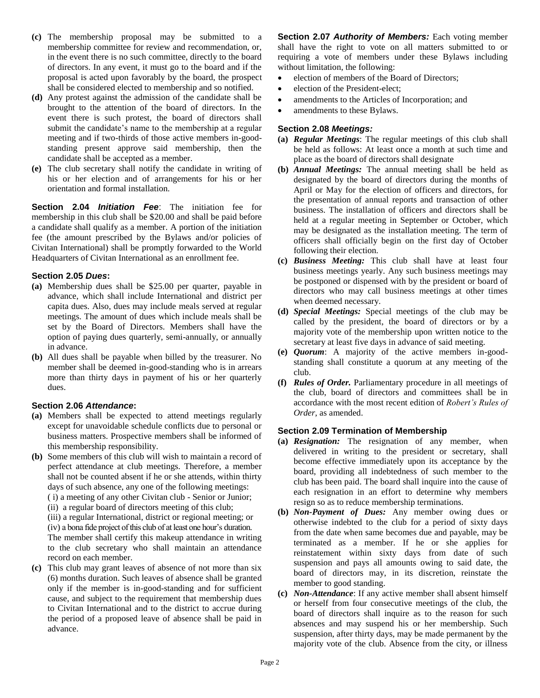- **(c)** The membership proposal may be submitted to a membership committee for review and recommendation, or, in the event there is no such committee, directly to the board of directors. In any event, it must go to the board and if the proposal is acted upon favorably by the board, the prospect shall be considered elected to membership and so notified.
- **(d)** Any protest against the admission of the candidate shall be brought to the attention of the board of directors. In the event there is such protest, the board of directors shall submit the candidate's name to the membership at a regular meeting and if two-thirds of those active members in-goodstanding present approve said membership, then the candidate shall be accepted as a member.
- **(e)** The club secretary shall notify the candidate in writing of his or her election and of arrangements for his or her orientation and formal installation.

**Section 2.04** *Initiation Fee*: The initiation fee for membership in this club shall be \$20.00 and shall be paid before a candidate shall qualify as a member. A portion of the initiation fee (the amount prescribed by the Bylaws and/or policies of Civitan International) shall be promptly forwarded to the World Headquarters of Civitan International as an enrollment fee.

### **Section 2.05** *Dues***:**

- **(a)** Membership dues shall be \$25.00 per quarter, payable in advance, which shall include International and district per capita dues. Also, dues may include meals served at regular meetings. The amount of dues which include meals shall be set by the Board of Directors. Members shall have the option of paying dues quarterly, semi-annually, or annually in advance.
- **(b)** All dues shall be payable when billed by the treasurer. No member shall be deemed in-good-standing who is in arrears more than thirty days in payment of his or her quarterly dues.

#### **Section 2.06** *Attendance***:**

- **(a)** Members shall be expected to attend meetings regularly except for unavoidable schedule conflicts due to personal or business matters. Prospective members shall be informed of this membership responsibility.
- **(b)** Some members of this club will wish to maintain a record of perfect attendance at club meetings. Therefore, a member shall not be counted absent if he or she attends, within thirty days of such absence, any one of the following meetings:
	- ( i) a meeting of any other Civitan club Senior or Junior;
	- (ii) a regular board of directors meeting of this club;

(iii) a regular International, district or regional meeting; or (iv) a bona fide project of this club of at least one hour's duration. The member shall certify this makeup attendance in writing to the club secretary who shall maintain an attendance record on each member.

**(c)** This club may grant leaves of absence of not more than six (6) months duration. Such leaves of absence shall be granted only if the member is in-good-standing and for sufficient cause, and subject to the requirement that membership dues to Civitan International and to the district to accrue during the period of a proposed leave of absence shall be paid in advance.

**Section 2.07** *Authority of Members:* Each voting member shall have the right to vote on all matters submitted to or requiring a vote of members under these Bylaws including without limitation, the following:

- election of members of the Board of Directors;
- election of the President-elect;
- amendments to the Articles of Incorporation; and
- amendments to these Bylaws.

#### **Section 2.08** *Meetings:*

- **(a)** *Regular Meetings*: The regular meetings of this club shall be held as follows: At least once a month at such time and place as the board of directors shall designate
- **(b)** *Annual Meetings:* The annual meeting shall be held as designated by the board of directors during the months of April or May for the election of officers and directors, for the presentation of annual reports and transaction of other business. The installation of officers and directors shall be held at a regular meeting in September or October, which may be designated as the installation meeting. The term of officers shall officially begin on the first day of October following their election.
- **(c)** *Business Meeting:* This club shall have at least four business meetings yearly. Any such business meetings may be postponed or dispensed with by the president or board of directors who may call business meetings at other times when deemed necessary.
- **(d)** *Special Meetings:* Special meetings of the club may be called by the president, the board of directors or by a majority vote of the membership upon written notice to the secretary at least five days in advance of said meeting.
- **(e)** *Quorum*: A majority of the active members in-goodstanding shall constitute a quorum at any meeting of the club.
- **(f)** *Rules of Order.* Parliamentary procedure in all meetings of the club, board of directors and committees shall be in accordance with the most recent edition of *Robert's Rules of Order,* as amended.

#### **Section 2.09 Termination of Membership**

- **(a)** *Resignation:* The resignation of any member, when delivered in writing to the president or secretary, shall become effective immediately upon its acceptance by the board, providing all indebtedness of such member to the club has been paid. The board shall inquire into the cause of each resignation in an effort to determine why members resign so as to reduce membership terminations.
- **(b)** *Non-Payment of Dues:* Any member owing dues or otherwise indebted to the club for a period of sixty days from the date when same becomes due and payable, may be terminated as a member. If he or she applies for reinstatement within sixty days from date of such suspension and pays all amounts owing to said date, the board of directors may, in its discretion, reinstate the member to good standing.
- **(c)** *Non-Attendance*: If any active member shall absent himself or herself from four consecutive meetings of the club, the board of directors shall inquire as to the reason for such absences and may suspend his or her membership. Such suspension, after thirty days, may be made permanent by the majority vote of the club. Absence from the city, or illness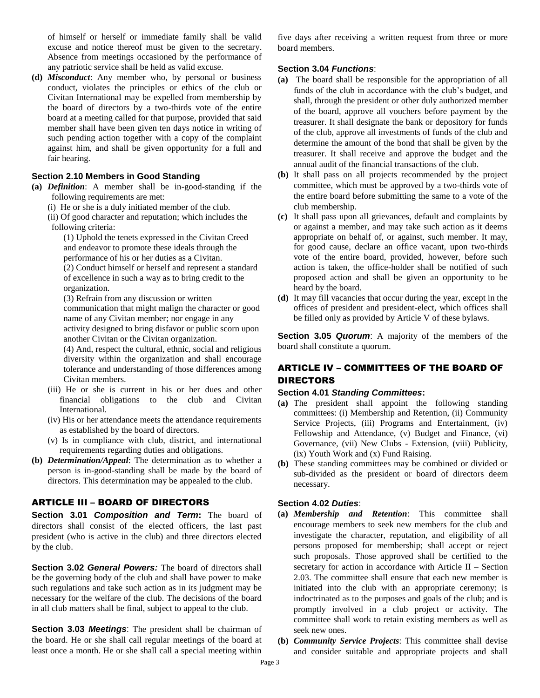of himself or herself or immediate family shall be valid excuse and notice thereof must be given to the secretary. Absence from meetings occasioned by the performance of any patriotic service shall be held as valid excuse.

**(d)** *Misconduct*: Any member who, by personal or business conduct, violates the principles or ethics of the club or Civitan International may be expelled from membership by the board of directors by a two-thirds vote of the entire board at a meeting called for that purpose, provided that said member shall have been given ten days notice in writing of such pending action together with a copy of the complaint against him, and shall be given opportunity for a full and fair hearing.

#### **Section 2.10 Members in Good Standing**

- **(a)** *Definition*: A member shall be in-good-standing if the following requirements are met:
	- (i) He or she is a duly initiated member of the club.
	- (ii) Of good character and reputation; which includes the following criteria:

(1) Uphold the tenets expressed in the Civitan Creed and endeavor to promote these ideals through the performance of his or her duties as a Civitan.

(2) Conduct himself or herself and represent a standard of excellence in such a way as to bring credit to the organization.

(3) Refrain from any discussion or written communication that might malign the character or good name of any Civitan member; nor engage in any activity designed to bring disfavor or public scorn upon another Civitan or the Civitan organization.

(4) And, respect the cultural, ethnic, social and religious diversity within the organization and shall encourage tolerance and understanding of those differences among Civitan members.

- (iii) He or she is current in his or her dues and other financial obligations to the club and Civitan International.
- (iv) His or her attendance meets the attendance requirements as established by the board of directors.
- (v) Is in compliance with club, district, and international requirements regarding duties and obligations.
- **(b)** *Determination/Appeal*: The determination as to whether a person is in-good-standing shall be made by the board of directors. This determination may be appealed to the club.

# ARTICLE III – BOARD OF DIRECTORS

**Section 3.01** *Composition and Term***:** The board of directors shall consist of the elected officers, the last past president (who is active in the club) and three directors elected by the club.

**Section 3.02** *General Powers:* The board of directors shall be the governing body of the club and shall have power to make such regulations and take such action as in its judgment may be necessary for the welfare of the club. The decisions of the board in all club matters shall be final, subject to appeal to the club.

**Section 3.03** *Meetings*: The president shall be chairman of the board. He or she shall call regular meetings of the board at least once a month. He or she shall call a special meeting within

five days after receiving a written request from three or more board members.

#### **Section 3.04** *Functions*:

- **(a)** The board shall be responsible for the appropriation of all funds of the club in accordance with the club's budget, and shall, through the president or other duly authorized member of the board, approve all vouchers before payment by the treasurer. It shall designate the bank or depository for funds of the club, approve all investments of funds of the club and determine the amount of the bond that shall be given by the treasurer. It shall receive and approve the budget and the annual audit of the financial transactions of the club.
- **(b)** It shall pass on all projects recommended by the project committee, which must be approved by a two-thirds vote of the entire board before submitting the same to a vote of the club membership.
- **(c)** It shall pass upon all grievances, default and complaints by or against a member, and may take such action as it deems appropriate on behalf of, or against, such member. It may, for good cause, declare an office vacant, upon two-thirds vote of the entire board, provided, however, before such action is taken, the office-holder shall be notified of such proposed action and shall be given an opportunity to be heard by the board.
- **(d)** It may fill vacancies that occur during the year, except in the offices of president and president-elect, which offices shall be filled only as provided by Article V of these bylaws.

**Section 3.05** *Quorum*: A majority of the members of the board shall constitute a quorum.

# ARTICLE IV – COMMITTEES OF THE BOARD OF DIRECTORS

#### **Section 4.01** *Standing Committees***:**

- **(a)** The president shall appoint the following standing committees: (i) Membership and Retention, (ii) Community Service Projects, (iii) Programs and Entertainment, (iv) Fellowship and Attendance, (v) Budget and Finance, (vi) Governance, (vii) New Clubs - Extension, (viii) Publicity, (ix) Youth Work and (x) Fund Raising.
- **(b)** These standing committees may be combined or divided or sub-divided as the president or board of directors deem necessary.

#### **Section 4.02** *Duties*:

- **(a)** *Membership and Retention*: This committee shall encourage members to seek new members for the club and investigate the character, reputation, and eligibility of all persons proposed for membership; shall accept or reject such proposals. Those approved shall be certified to the secretary for action in accordance with Article II – Section 2.03. The committee shall ensure that each new member is initiated into the club with an appropriate ceremony; is indoctrinated as to the purposes and goals of the club; and is promptly involved in a club project or activity. The committee shall work to retain existing members as well as seek new ones.
- **(b)** *Community Service Projects*: This committee shall devise and consider suitable and appropriate projects and shall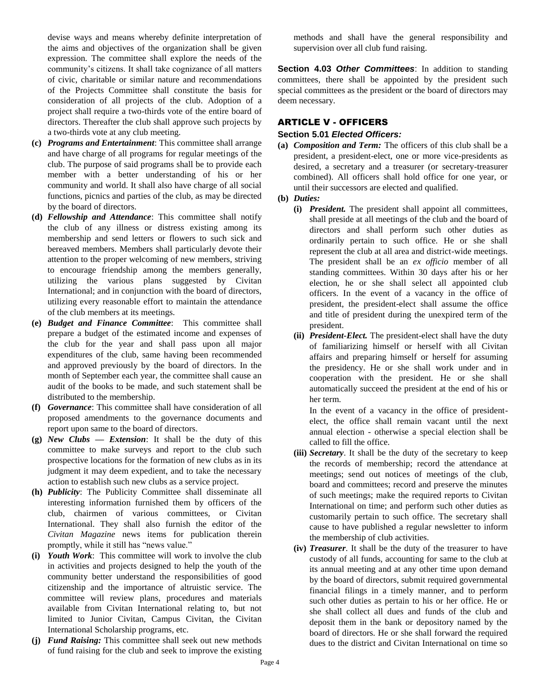devise ways and means whereby definite interpretation of the aims and objectives of the organization shall be given expression. The committee shall explore the needs of the community's citizens. It shall take cognizance of all matters of civic, charitable or similar nature and recommendations of the Projects Committee shall constitute the basis for consideration of all projects of the club. Adoption of a project shall require a two-thirds vote of the entire board of directors. Thereafter the club shall approve such projects by a two-thirds vote at any club meeting.

- **(c)** *Programs and Entertainment*: This committee shall arrange and have charge of all programs for regular meetings of the club. The purpose of said programs shall be to provide each member with a better understanding of his or her community and world. It shall also have charge of all social functions, picnics and parties of the club, as may be directed by the board of directors.
- **(d)** *Fellowship and Attendance*: This committee shall notify the club of any illness or distress existing among its membership and send letters or flowers to such sick and bereaved members. Members shall particularly devote their attention to the proper welcoming of new members, striving to encourage friendship among the members generally, utilizing the various plans suggested by Civitan International; and in conjunction with the board of directors, utilizing every reasonable effort to maintain the attendance of the club members at its meetings.
- **(e)** *Budget and Finance Committee*: This committee shall prepare a budget of the estimated income and expenses of the club for the year and shall pass upon all major expenditures of the club, same having been recommended and approved previously by the board of directors. In the month of September each year, the committee shall cause an audit of the books to be made, and such statement shall be distributed to the membership.
- **(f)** *Governance*: This committee shall have consideration of all proposed amendments to the governance documents and report upon same to the board of directors.
- **(g)** *New Clubs — Extension*: It shall be the duty of this committee to make surveys and report to the club such prospective locations for the formation of new clubs as in its judgment it may deem expedient, and to take the necessary action to establish such new clubs as a service project.
- **(h)** *Publicity*: The Publicity Committee shall disseminate all interesting information furnished them by officers of the club, chairmen of various committees, or Civitan International. They shall also furnish the editor of the *Civitan Magazine* news items for publication therein promptly, while it still has "news value."
- **(i)** *Youth Work*: This committee will work to involve the club in activities and projects designed to help the youth of the community better understand the responsibilities of good citizenship and the importance of altruistic service. The committee will review plans, procedures and materials available from Civitan International relating to, but not limited to Junior Civitan, Campus Civitan, the Civitan International Scholarship programs, etc.
- **(j)** *Fund Raising:* This committee shall seek out new methods of fund raising for the club and seek to improve the existing

methods and shall have the general responsibility and supervision over all club fund raising.

**Section 4.03** *Other Committees*: In addition to standing committees, there shall be appointed by the president such special committees as the president or the board of directors may deem necessary.

# ARTICLE V - OFFICERS

# **Section 5.01** *Elected Officers:*

- **(a)** *Composition and Term:* The officers of this club shall be a president, a president-elect, one or more vice-presidents as desired, a secretary and a treasurer (or secretary-treasurer combined). All officers shall hold office for one year, or until their successors are elected and qualified.
- **(b)** *Duties:* 
	- **(i)** *President.* The president shall appoint all committees, shall preside at all meetings of the club and the board of directors and shall perform such other duties as ordinarily pertain to such office. He or she shall represent the club at all area and district-wide meetings. The president shall be an *ex officio* member of all standing committees. Within 30 days after his or her election, he or she shall select all appointed club officers. In the event of a vacancy in the office of president, the president-elect shall assume the office and title of president during the unexpired term of the president.
	- **(ii)** *President-Elect.* The president-elect shall have the duty of familiarizing himself or herself with all Civitan affairs and preparing himself or herself for assuming the presidency. He or she shall work under and in cooperation with the president. He or she shall automatically succeed the president at the end of his or her term.

In the event of a vacancy in the office of presidentelect, the office shall remain vacant until the next annual election - otherwise a special election shall be called to fill the office.

- **(iii)** *Secretary*. It shall be the duty of the secretary to keep the records of membership; record the attendance at meetings; send out notices of meetings of the club, board and committees; record and preserve the minutes of such meetings; make the required reports to Civitan International on time; and perform such other duties as customarily pertain to such office. The secretary shall cause to have published a regular newsletter to inform the membership of club activities.
- **(iv)** *Treasurer*. It shall be the duty of the treasurer to have custody of all funds, accounting for same to the club at its annual meeting and at any other time upon demand by the board of directors, submit required governmental financial filings in a timely manner, and to perform such other duties as pertain to his or her office. He or she shall collect all dues and funds of the club and deposit them in the bank or depository named by the board of directors. He or she shall forward the required dues to the district and Civitan International on time so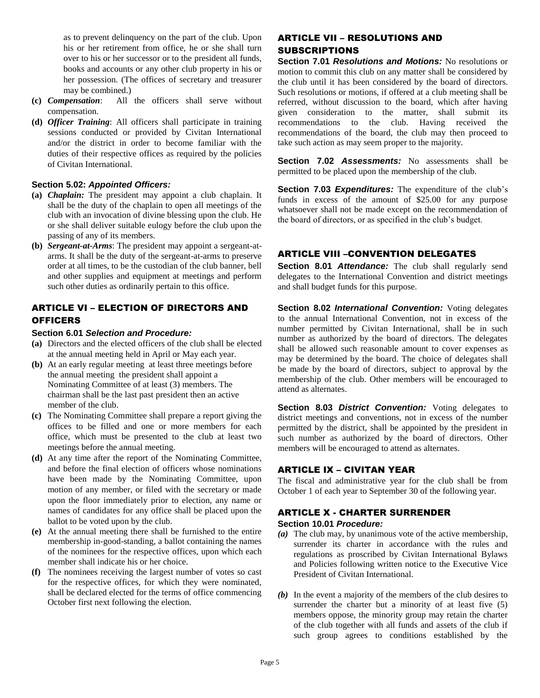as to prevent delinquency on the part of the club. Upon his or her retirement from office, he or she shall turn over to his or her successor or to the president all funds, books and accounts or any other club property in his or her possession. (The offices of secretary and treasurer may be combined.)

- **(c)** *Compensation*: All the officers shall serve without compensation.
- **(d)** *Officer Training*: All officers shall participate in training sessions conducted or provided by Civitan International and/or the district in order to become familiar with the duties of their respective offices as required by the policies of Civitan International.

#### **Section 5.02:** *Appointed Officers:*

- **(a)** *Chaplain:* The president may appoint a club chaplain. It shall be the duty of the chaplain to open all meetings of the club with an invocation of divine blessing upon the club. He or she shall deliver suitable eulogy before the club upon the passing of any of its members.
- **(b)** *Sergeant-at-Arms*: The president may appoint a sergeant-atarms. It shall be the duty of the sergeant-at-arms to preserve order at all times, to be the custodian of the club banner, bell and other supplies and equipment at meetings and perform such other duties as ordinarily pertain to this office.

# ARTICLE VI – ELECTION OF DIRECTORS AND **OFFICERS**

#### **Section 6.01** *Selection and Procedure:*

- **(a)** Directors and the elected officers of the club shall be elected at the annual meeting held in April or May each year.
- **(b)** At an early regular meeting at least three meetings before the annual meeting the president shall appoint a Nominating Committee of at least (3) members. The chairman shall be the last past president then an active member of the club.
- **(c)** The Nominating Committee shall prepare a report giving the offices to be filled and one or more members for each office, which must be presented to the club at least two meetings before the annual meeting.
- **(d)** At any time after the report of the Nominating Committee, and before the final election of officers whose nominations have been made by the Nominating Committee, upon motion of any member, or filed with the secretary or made upon the floor immediately prior to election, any name or names of candidates for any office shall be placed upon the ballot to be voted upon by the club.
- **(e)** At the annual meeting there shall be furnished to the entire membership in-good-standing, a ballot containing the names of the nominees for the respective offices, upon which each member shall indicate his or her choice.
- **(f)** The nominees receiving the largest number of votes so cast for the respective offices, for which they were nominated, shall be declared elected for the terms of office commencing October first next following the election.

# ARTICLE VII – RESOLUTIONS AND SUBSCRIPTIONS

**Section 7.01** *Resolutions and Motions:* No resolutions or motion to commit this club on any matter shall be considered by the club until it has been considered by the board of directors. Such resolutions or motions, if offered at a club meeting shall be referred, without discussion to the board, which after having given consideration to the matter, shall submit its recommendations to the club. Having received the recommendations of the board, the club may then proceed to take such action as may seem proper to the majority.

**Section 7.02** *Assessments:* No assessments shall be permitted to be placed upon the membership of the club.

**Section 7.03** *Expenditures:* The expenditure of the club's funds in excess of the amount of \$25.00 for any purpose whatsoever shall not be made except on the recommendation of the board of directors, or as specified in the club's budget.

# ARTICLE VIII –CONVENTION DELEGATES

**Section 8.01** *Attendance:* The club shall regularly send delegates to the International Convention and district meetings and shall budget funds for this purpose.

**Section 8.02** *International Convention:* Voting delegates to the annual International Convention, not in excess of the number permitted by Civitan International, shall be in such number as authorized by the board of directors. The delegates shall be allowed such reasonable amount to cover expenses as may be determined by the board. The choice of delegates shall be made by the board of directors, subject to approval by the membership of the club. Other members will be encouraged to attend as alternates.

**Section 8.03 District Convention:** Voting delegates to district meetings and conventions, not in excess of the number permitted by the district, shall be appointed by the president in such number as authorized by the board of directors. Other members will be encouraged to attend as alternates.

# ARTICLE IX – CIVITAN YEAR

The fiscal and administrative year for the club shall be from October 1 of each year to September 30 of the following year.

# ARTICLE X - CHARTER SURRENDER

#### **Section 10.01** *Procedure:*

- *(a)* The club may, by unanimous vote of the active membership, surrender its charter in accordance with the rules and regulations as proscribed by Civitan International Bylaws and Policies following written notice to the Executive Vice President of Civitan International.
- *(b)* In the event a majority of the members of the club desires to surrender the charter but a minority of at least five (5) members oppose, the minority group may retain the charter of the club together with all funds and assets of the club if such group agrees to conditions established by the